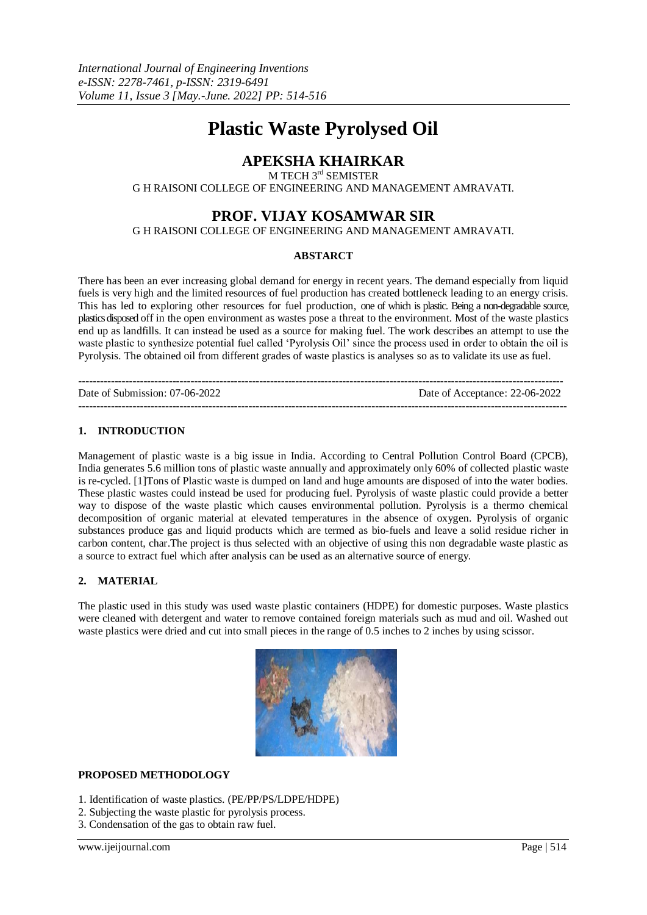# **Plastic Waste Pyrolysed Oil**

# **APEKSHA KHAIRKAR**

M TECH 3<sup>rd</sup> SEMISTER

G H RAISONI COLLEGE OF ENGINEERING AND MANAGEMENT AMRAVATI.

# **PROF. VIJAY KOSAMWAR SIR**

G H RAISONI COLLEGE OF ENGINEERING AND MANAGEMENT AMRAVATI.

## **ABSTARCT**

There has been an ever increasing global demand for energy in recent years. The demand especially from liquid fuels is very high and the limited resources of fuel production has created bottleneck leading to an energy crisis. This has led to exploring other resources for fuel production, one of which is plastic. Being a non-degradable source, plastics disposed off in the open environment as wastes pose a threat to the environment. Most of the waste plastics end up as landfills. It can instead be used as a source for making fuel. The work describes an attempt to use the waste plastic to synthesize potential fuel called 'Pyrolysis Oil' since the process used in order to obtain the oil is Pyrolysis. The obtained oil from different grades of waste plastics is analyses so as to validate its use as fuel.

-------------------------------------------------------------------------------------------------------------------------------------- Date of Submission: 07-06-2022 Date of Acceptance: 22-06-2022 ---------------------------------------------------------------------------------------------------------------------------------------

# **1. INTRODUCTION**

Management of plastic waste is a big issue in India. According to Central Pollution Control Board (CPCB), India generates 5.6 million tons of plastic waste annually and approximately only 60% of collected plastic waste is re-cycled. [1]Tons of Plastic waste is dumped on land and huge amounts are disposed of into the water bodies. These plastic wastes could instead be used for producing fuel. Pyrolysis of waste plastic could provide a better way to dispose of the waste plastic which causes environmental pollution. Pyrolysis is a thermo chemical decomposition of organic material at elevated temperatures in the absence of oxygen. Pyrolysis of organic substances produce gas and liquid products which are termed as bio-fuels and leave a solid residue richer in carbon content, char.The project is thus selected with an objective of using this non degradable waste plastic as a source to extract fuel which after analysis can be used as an alternative source of energy.

# **2. MATERIAL**

The plastic used in this study was used waste plastic containers (HDPE) for domestic purposes. Waste plastics were cleaned with detergent and water to remove contained foreign materials such as mud and oil. Washed out waste plastics were dried and cut into small pieces in the range of 0.5 inches to 2 inches by using scissor.



# **PROPOSED METHODOLOGY**

- 1. Identification of waste plastics. (PE/PP/PS/LDPE/HDPE)
- 2. Subjecting the waste plastic for pyrolysis process.
- 3. Condensation of the gas to obtain raw fuel.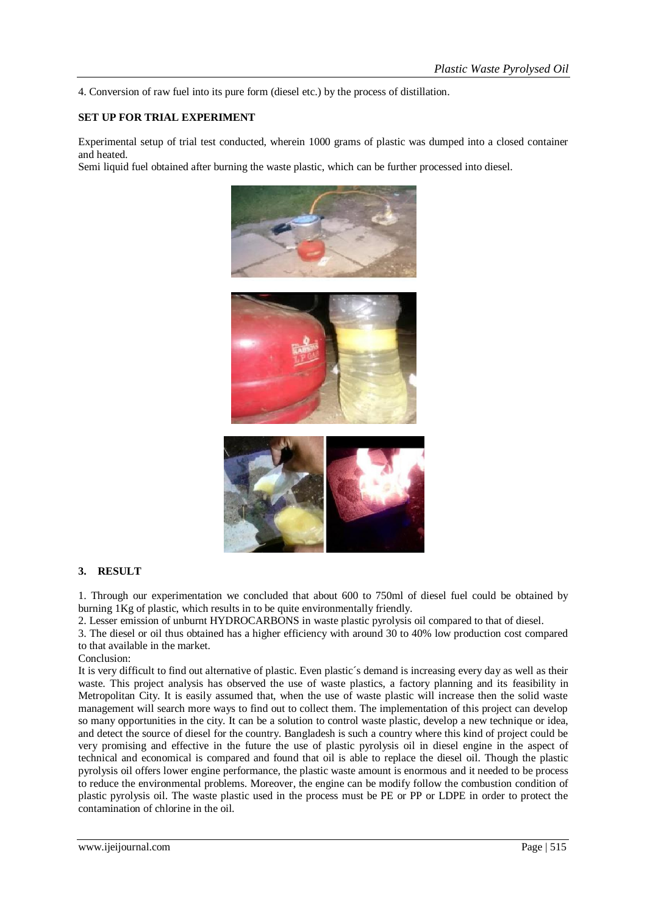4. Conversion of raw fuel into its pure form (diesel etc.) by the process of distillation.

#### **SET UP FOR TRIAL EXPERIMENT**

Experimental setup of trial test conducted, wherein 1000 grams of plastic was dumped into a closed container and heated.

Semi liquid fuel obtained after burning the waste plastic, which can be further processed into diesel.





## **3. RESULT**

1. Through our experimentation we concluded that about 600 to 750ml of diesel fuel could be obtained by burning 1Kg of plastic, which results in to be quite environmentally friendly.

2. Lesser emission of unburnt HYDROCARBONS in waste plastic pyrolysis oil compared to that of diesel.

3. The diesel or oil thus obtained has a higher efficiency with around 30 to 40% low production cost compared to that available in the market.

Conclusion:

It is very difficult to find out alternative of plastic. Even plastic´s demand is increasing every day as well as their waste. This project analysis has observed the use of waste plastics, a factory planning and its feasibility in Metropolitan City. It is easily assumed that, when the use of waste plastic will increase then the solid waste management will search more ways to find out to collect them. The implementation of this project can develop so many opportunities in the city. It can be a solution to control waste plastic, develop a new technique or idea, and detect the source of diesel for the country. Bangladesh is such a country where this kind of project could be very promising and effective in the future the use of plastic pyrolysis oil in diesel engine in the aspect of technical and economical is compared and found that oil is able to replace the diesel oil. Though the plastic pyrolysis oil offers lower engine performance, the plastic waste amount is enormous and it needed to be process to reduce the environmental problems. Moreover, the engine can be modify follow the combustion condition of plastic pyrolysis oil. The waste plastic used in the process must be PE or PP or LDPE in order to protect the contamination of chlorine in the oil.